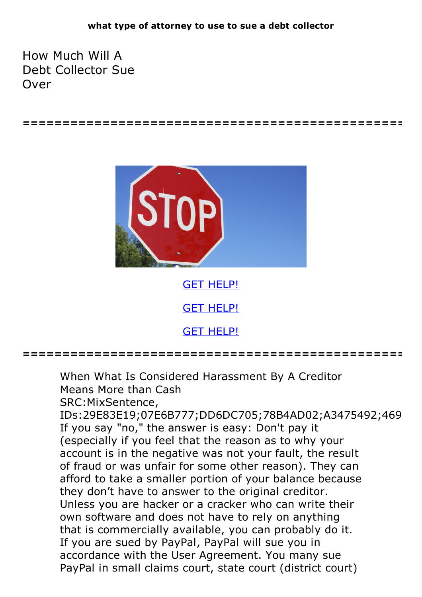**================================================**

How Much Will A Debt Collector Sue Over



GET [HELP!](https://runpdf.xyz/pdf) GET [HELP!](https://runpdf.xyz/pdf) GET [HELP!](https://runpdf.xyz/pdf)

**================================================**

When What Is Considered Harassment By A Creditor Means More than Cash SRC:MixSentence, IDs:29E83E19;07E6B777;DD6DC705;78B4AD02;A3475492;469 If you say "no," the answer is easy: Don't pay it (especially if you feel that the reason as to why your account is in the negative was not your fault, the result of fraud or was unfair for some other reason). They can afford to take a smaller portion of your balance because they don't have to answer to the original creditor. Unless you are hacker or <sup>a</sup> cracker who can write their own software and does not have to rely on anything that is commercially available, you can probably do it. If you are sued by PayPal, PayPal will sue you in accordance with the User Agreement. You many sue PayPal in small claims court, state court (district court)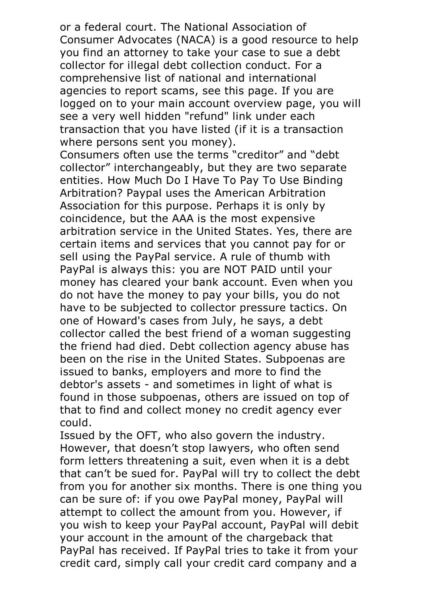or a federal court. The National Association of Consumer Advocates (NACA) is a good resource to help you find an attorney to take your case to sue a debt collector for illegal debt collection conduct. For a comprehensive list of national and international agencies to report scams, see this page. If you are logged on to your main account overview page, you will see a very well hidden "refund" link under each transaction that you have listed (if it is a transaction where persons sent you money).<br>Consumers often use the terms "creditor" and "debt

collector" interchangeably, but they are two separate entities. How Much Do I Have To Pay To Use Binding Arbitration? Paypal uses the American Arbitration Association for this purpose. Perhaps it is only by coincidence, but the AAA is the most expensive arbitration service in the United States. Yes, there are certain items and services that you cannot pay for or sell using the PayPal service. A rule of thumb with PayPal is always this: you are NOT PAID until your money has cleared your bank account. Even when you do not have the money to pay your bills, you do not have to be subjected to collector pressure tactics. On one of Howard's cases from July, he says, a debt collector called the best friend of a woman suggesting the friend had died. Debt collection agency abuse has been on the rise in the United States. Subpoenas are issued to banks, employers and more to find the debtor's assets - and sometimes in light of what is found in those subpoenas, others are issued on top of that to find and collect money no credit agency ever could.

Issued by the OFT, who also govern the industry. However, that doesn't stop lawyers, who often send form letters threatening a suit, even when it is a debt that can't be sued for. PayPal will try to collect the debt from you for another six months. There is one thing you can be sure of: if you owe PayPal money, PayPal will attempt to collect the amount from you. However, if you wish to keep your PayPal account, PayPal will debit your account in the amount of the chargeback that PayPal has received. If PayPal tries to take it from your credit card, simply call your credit card company and a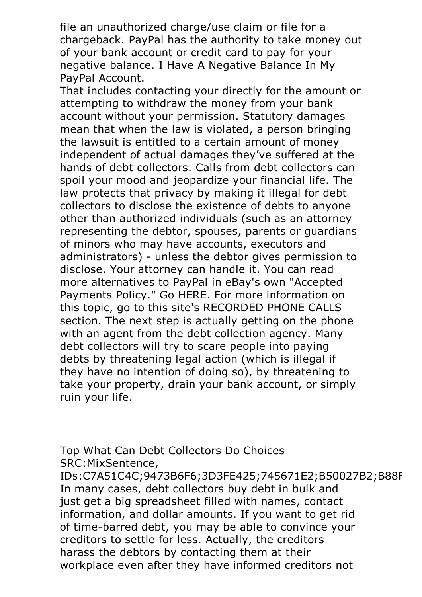file an unauthorized charge/use claim or file for a chargeback. PayPal has the authority to take money out of your bank account or credit card to pay for your negative balance. I Have A Negative Balance In My

PayPal Account. That includes contacting your directly for the amount or attempting to withdraw the money from your bank account without your permission. Statutory damages mean that when the law is violated, a person bringing the lawsuit is entitled to a certain amount of money independent of actual damages they've suffered at the hands of debt collectors. Calls from debt collectors can spoil your mood and jeopardize your financial life. The law protects that privacy by making it illegal for debt collectors to disclose the existence of debts to anyone other than authorized individuals (such as an attorney representing the debtor, spouses, parents or guardians of minors who may have accounts, executors and administrators) - unless the debtor gives permission to disclose. Your attorney can handle it. You can read more alternatives to PayPal in eBay's own "Accepted Payments Policy." Go HERE. For more information on this topic, go to this site's RECORDED PHONE CALLS section. The next step is actually getting on the phone with an agent from the debt collection agency. Many debt collectors will try to scare people into paying debts by threatening legal action (which is illegal if they have no intention of doing so), by threatening to take your property, drain your bank account, or simply ruin your life.

Top What Can Debt Collectors Do Choices SRC:MixSentence,

IDs:C7A51C4C;9473B6F6;3D3FE425;745671E2;B50027B2;B88F In many cases, debt collectors buy debt in bulk and just get a big spreadsheet filled with names, contact information, and dollar amounts. If you want to get rid of time-barred debt, you may be able to convince your creditors to settle for less. Actually, the creditors harass the debtors by contacting them at their workplace even after they have informed creditors not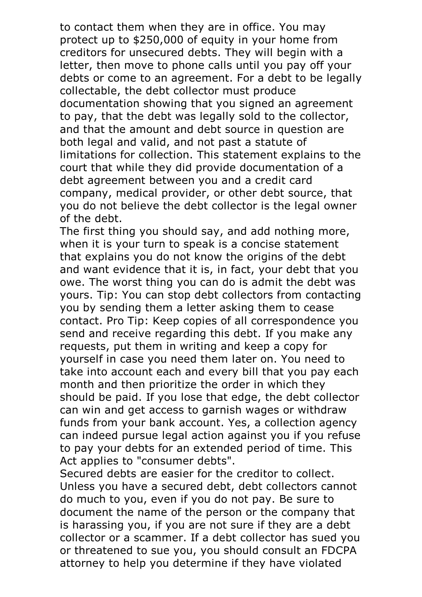to contact them when they are in office. You may protect up to \$250,000 of equity in your home from creditors for unsecured debts. They will begin with a letter, then move to phone calls until you pay off your debts or come to an agreement. For a debt to be legally collectable, the debt collector must produce documentation showing that you signed an agreement to pay, that the debt was legally sold to the collector, and that the amount and debt source in question are both legal and valid, and not past a statute of limitations for collection. This statement explains to the court that while they did provide documentation of a debt agreement between you and a credit card company, medical provider, or other debt source, that you do not believe the debt collector is the legal owner

of the debt.<br>The first thing you should say, and add nothing more, when it is your turn to speak is a concise statement that explains you do not know the origins of the debt and want evidence that it is, in fact, your debt that you owe. The worst thing you can do is admit the debt was yours. Tip: You can stop debt collectors from contacting you by sending them a letter asking them to cease contact. Pro Tip: Keep copies of all correspondence you send and receive regarding this debt. If you make any requests, put them in writing and keep a copy for yourself in case you need them later on. You need to take into account each and every bill that you pay each month and then prioritize the order in which they should be paid. If you lose that edge, the debt collector can win and get access to garnish wages or withdraw funds from your bank account. Yes, a collection agency can indeed pursue legal action against you if you refuse to pay your debts for an extended period of time. This

Act applies to "consumer debts".<br>Secured debts are easier for the creditor to collect.<br>Unless you have a secured debt, debt collectors cannot do much to you, even if you do not pay. Be sure to document the name of the person or the company that is harassing you, if you are not sure if they are a debt collector or a scammer. If a debt collector has sued you or threatened to sue you, you should consult an FDCPA attorney to help you determine if they have violated